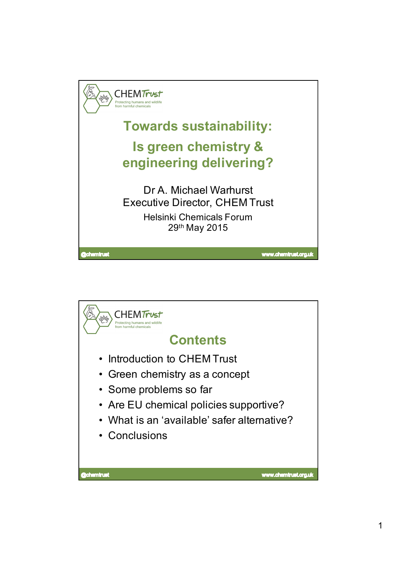

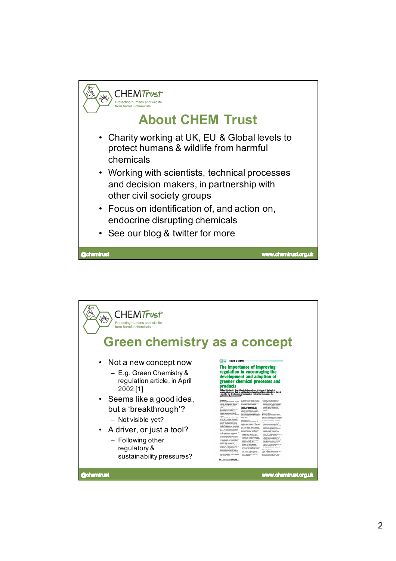

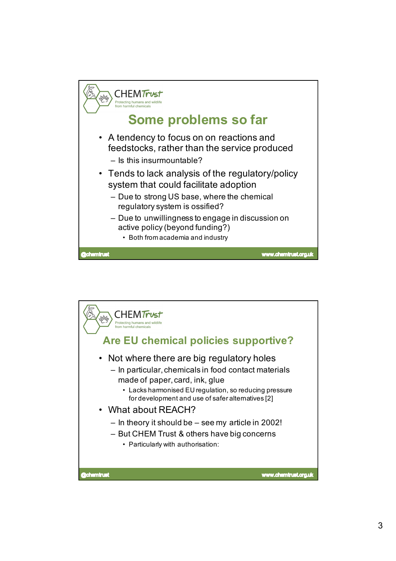

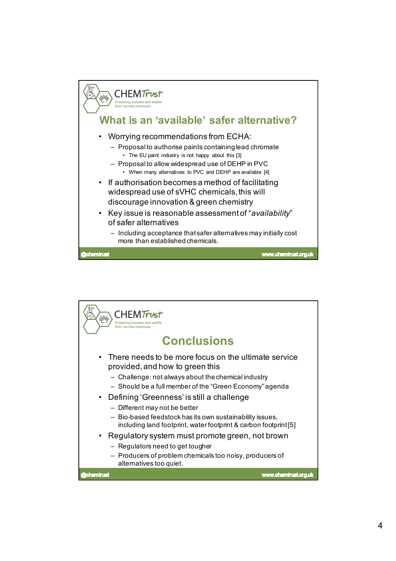